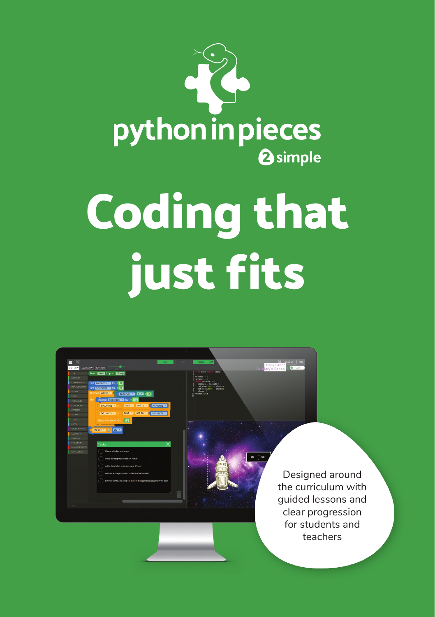

## **Coding that just fits**